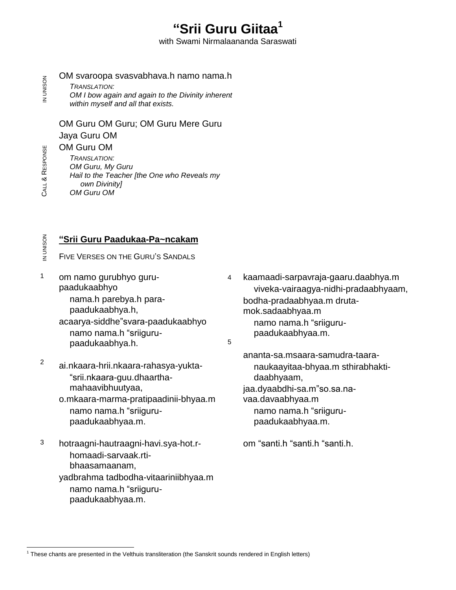# **Srii Guru Giitaa 1**

with Swami Nirmalaananda Saraswati

z OM svaroopa svasvabhava.h namo nama.h<br>*B TRANSLATION:*<br>OM I bow again and again to the Divinity inherent TRANSLATION: within myself and all that exists.

OM Guru OM Guru; OM Guru Mere Guru Jaya Guru OM OM Guru OM

TRANSLATION: OM Guru, My Guru Hail to the Teacher [the One who Reveals my own Divinity] OM Guru OM

CALL & RESPONSE

# $\frac{Z}{Z}$  **"Srii Guru Paadukaa-Pa~ncakam**<br>=<br>= FIVE VERSES ON THE GURU'S SANDALS

- 1 om namo gurubhyo guru paadukaabhyo nama.h parebya.h para paadukaabhya.h, nama.h parebya.h para-<br>paadukaabhya.h,<br>acaarya-siddhe"svara-paadukaabhyo paadukaabhya.h,<br>aarya-siddhe"svara-paadukaa<br>namo nama.h "sriigurupaadukaabhya.h.
- <sup>2</sup> ai.nkaara-hrii.nkaara-rahasya-yukta-"srii.nkaara-guu.dhaarthamahaavibhuutyaa,
- o.mkaara-marma-pratipaadinii-bhyaa.m mahaavibhuutyaa,<br>nkaara-marma-pratipaadinii-ł<br>namo nama.h "sriigurupaadukaabhyaa.m. hotraagni-hautraagni-havi.sya-hot.r- om ìsanti.h ìsanti.h ìsanti.h. <sup>3</sup>
- homaadi-sarvaak.rti bhaasamaanam, yadbrahma tadbodha-vitaariniibhyaa.m bhaasamaanam,<br>dbrahma tadbodha-vitaariniib<br>namo nama.h "sriiguru
	- paadukaabhyaa.m.

4 kaamaadi-sarpavraja-gaaru.daabhya.m viveka-vairaagya-nidhi-pradaabhyaam, bodha-pradaabhyaa.m druta-<br>mok.sadaabhyaa.m<br>namo nama.h "sriigurumok.sadaabhyaa.m paadukaabhyaa.m.

5

ananta-sa.msaara-samudra-taara naukaayitaa-bhyaa.m sthirabhakti-<br>daabhyaam,<br>jaa.dyaabdhi-sa.m"so.sa.nadaabhyaam, vaa.davaabhyaa.m jaa.dyaabdhi-sa.m"so.sa.na-<br>vaa.davaabhyaa.m<br>namo nama.h "sriigurupaadukaabhyaa.m.

 $1$  These chants are presented in the Velthuis transliteration (the Sanskrit sounds rendered in English letters)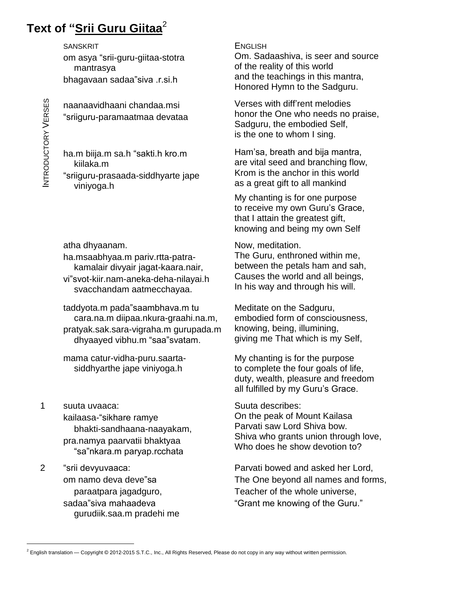# **Text of <sup>ì</sup>Srii Guru Giitaa** 2

SANSKRIT<br>om asya "srii-gur<br>mantrasya<br>bhagavaan sada<br>, om asya ìsrii-guru-giitaa-stotra mantrasya om asya "srii-guru-giitaa-stotra<br>mantrasya<br>bhagavaan sadaa"siva .r.si.h

 -paramaatmaa devataa naanaavidhaani chandaa.msi

 $\mathsf{\Xi}\qquad\qquad$  viniyoga.h -prasaada-siddhyarte jape kiilaka.m bi ی<br>is<br>ha.m biija.m sa.h "sakti.h kro.m

atha dhyaanam.

ha.msaabhyaa.m pariv.rtta-patra kamalair divyair jagat-kaara.nair, kamalair divyair jagat-kaara.nair, between the petals ham and sah,<br>vi"svot-kiir.nam-aneka-deha-nilayai.h Causes the world and all beings, svacchandam aatmecchayaa.

taddyota.m pada"saambhava.m tu cara.na.m diipaa.nkura-graahi.na.m, pratyak.sak.sara-vigraha.m gurupada.m cara.na.m diipaa.nkura-graahi.na.m,<br>atyak.sak.sara-vigraha.m gurupada.n<br>dhyaayed vibhu.m "saa"svatam.

mama catur-vidha-puru.saarta siddhyarthe jape viniyoga.h

- 1 suuta uvaaca: kailaasa-"sikhare ramye bhakti-sandhaana-naayakam,<br>a.namya paarvatii bhaktyaa<br>"sa"nkara.m parvap.rcchata pra.namya paarvatii bhaktyaa sa"nkara.m paryap.rcchata"<br>2 <sup>isrii</sup> devyuvaaca:
- sa mara.m paryap.rccnata<br>"srii devyuvaaca:<br>om namo deva deve"sa paraatpara jagadguro, om namo deva deve"sa<br>paraatpara jagadguro,<br>sadaa"siva mahaadeva gurudiik.saa.m pradehi me

**ENGLISH** Om. Sadaashiva, is seer and source of the reality of this world and the teachings in this mantra, Honored Hymn to the Sadguru. and the teachings in this mantra,<br>Honored Hymn to the Sadguru.<br>Verses with diff'rent melodies

honor the One who needs no praise, Sadguru, the embodied Self, is the one to whom I sing.

Hamísa, breath and bija mantra, are vital seed and branching flow, Krom is the anchor in this world as a great gift to all mankind

My chanting is for one purpose to receive my own Guru's Grace, that I attain the greatest gift, knowing and being my own Self

Now, meditation. The Guru, enthroned within me, Causes the world and all beings, In his way and through his will.

Meditate on the Sadguru, embodied form of consciousness, knowing, being, illumining, giving me That which is my Self,

My chanting is for the purpose to complete the four goals of life, duty, wealth, pleasure and freedom all fulfilled by my Gurune purpose<br>duty, wealth, pleasure and freedom<br>all fulfilled by my Guru's Grace.

Suuta describes: On the peak of Mount Kailasa Parvati saw Lord Shiva bow. Shiva who grants union through love, Who does he show devotion to?

Parvati bowed and asked her Lord, The One beyond all names and forms,<br>Teacher of the whole universe,<br>"Grant me knowing of the Guru."

 $2$  English translation  $-$  Copyright © 2012-2015 S.T.C., Inc., All Rights Reserved, Please do not copy in any way without written permission.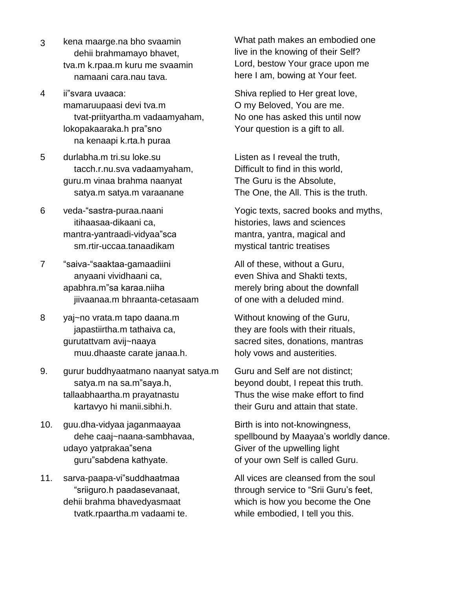- 3 kena maarge.na bho svaamin dehii brahmamayo bhavet, tva.m k.rpaa.m kuru me svaamin namaani cara.nau tava. wa.m k.ipaa.m kulu<br>namaani cara.nau<br>4 ii"svara uvaaca:
- mamaruupaasi devi tva.m tvat-priityartha.m vadaamyaham, mamaruupaasi devi tva.m<br>tvat-priityartha.m vadaamyahan<br>lokopakaaraka.h pra"sno na kenaapi k.rta.h puraa
- 5 durlabha.m tri.su loke.su tacch.r.nu.sva vadaamyaham, guru.m vinaa brahma naanyat satya.m viida bialilina haaniya.<br>satya.m satya.m varaanane<br>6 veda-"sastra-puraa.naani
- itihaasaa-dikaani ca, veda-"sastra-puraa.naani<br>itihaasaa-dikaani ca,<br>mantra-yantraadi-vidyaa"sca manna yamraaar viayaa eea<br>sm.rtir-uccaa.tanaadikam<br>7 "saiva-"saaktaa-gamaadiini
- anyaani vividhaani ca, "saiva-"saaktaa-gamaadiini<br>anyaani vividhaani ca,<br>apabhra.m"sa karaa.niiha jiivaanaa.m bhraanta-cetasaam
- 8 yaj~no vrata.m tapo daana.m japastiirtha.m tathaiva ca, gurutattvam avij~naaya muu.dhaaste carate janaa.h.
- 9. gurur buddhyaatmano naanyat satya.m Guru and maa.anaasto sarato janaa.m.<br>rur buddhyaatmano naanyat s<br>satya.m na sa.m"saya.h, tallaabhaartha.m prayatnastu kartavyo hi manii.sibhi.h.
- 10. guu.dha-vidyaa jaganmaayaa dehe caaj~naana-sambhavaa, guu.dha-vidyaa jaganmaayaa<br>dehe caaj~naana-sambhava<br>udayo yatprakaa"sena dehe caaj~naana-sambhava<br>ayo yatprakaa"sena<br>guru"sabdena kathyate. aaayo ya.prakaa oona<br>guru"sabdena kathyate.<br>11. sarva-paapa-vi"suddhaatmaa guru"sabdena kathyate.
- <sub>pna Ramyato.</sub><br>vi"suddhaatmaa<br>paadasevanaat. dehii brahma bhavedyasmaat tvatk.rpaartha.m vadaami te.

What path makes an embodied one live in the knowing of their Self? Lord, bestow Your grace upon me here I am, bowing at Your feet.

Shiva replied to Her great love, O my Beloved, You are me. No one has asked this until now Your question is a gift to all.

Listen as I reveal the truth, Difficult to find in this world, The Guru is the Absolute, The One, the All. This is the truth.

Yogic texts, sacred books and myths, histories, laws and sciences mantra, yantra, magical and mystical tantric treatises

All of these, without a Guru, even Shiva and Shakti texts, merely bring about the downfall of one with a deluded mind.

Without knowing of the Guru, they are fools with their rituals, sacred sites, donations, mantras holy vows and austerities.

Guru and Self are not distinct; beyond doubt, I repeat this truth. Thus the wise make effort to find their Guru and attain that state.

Birth is into not-knowingness, spellbound by Maayaa's worldly dance. Giver of the upwelling light of your own Self is called Guru.

All vices are cleansed from the soul through service to "Srii Guru's feet, which is how you become the One while embodied, I tell you this.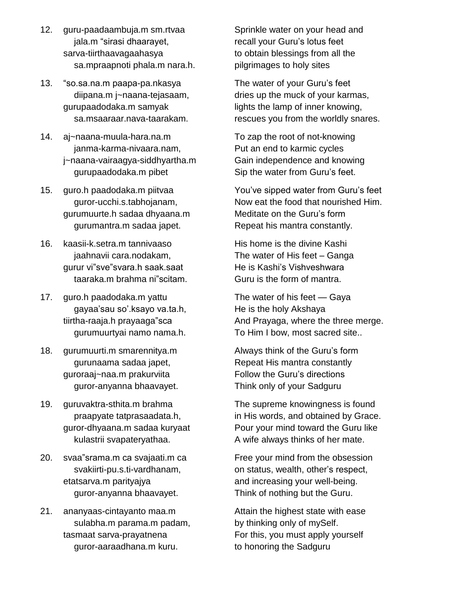- 12. guru-paadaambuja.m sm.rtvaa ru-paadaambuja.m sm.rtvaa<br>jala.m "sirasi dhaarayet, sarva-tiirthaavagaahasya sa.mpraapnoti phala.m nara.h. 13. ìso.sa.na.m paapa-pa.nkasya
- diipana.m j~naana-tejasaam, gurupaadodaka.m samyak sa.msaaraar.nava-taarakam.
- 14. aj~naana-muula-hara.na.m janma-karma-nivaara.nam, j~naana-vairaagya-siddhyartha.m gurupaadodaka.m pibet
- 15. guro.h paadodaka.m piitvaa guror-ucchi.s.tabhojanam, gurumuurte.h sadaa dhyaana.m gurumantra.m sadaa japet.
- 16. kaasii-k.setra.m tannivaaso jaahnavii cara.nodakam, gurur vi"sve"svara.h saak.saat taaraka.m brahma ni scitam.
- 17. guro.h paadodaka.m yattu tataka.m starma in soitam.<br>ro.h paadodaka.m yattu<br>gayaa'sau so'.ksayo va.ta.h, guro.h paadodaka.m yattu<br>gayaa'sau so'.ksayo va.ta.h,<br>tiirtha-raaja.h prayaaga"sca gurumuurtyai namo nama.h.
- 18. gurumuurti.m smarennitya.m gurunaama sadaa japet, guroraaj~naa.m prakurviita guror-anyanna bhaavayet.
- 19. guruvaktra-sthita.m brahma praapyate tatprasaadata.h, guror-dhyaana.m sadaa kuryaat kulastrii svapateryathaa.
- 20. svaa "srama.m ca svajaati.m ca svakiirti-pu.s.ti-vardhanam, etatsarva.m parityajya guror-anyanna bhaavayet.
- 21. ananyaas-cintayanto maa.m sulabha.m parama.m padam, tasmaat sarva-prayatnena guror-aaraadhana.m kuru.

Sprinkle water on your head and Sprinkle water on your head an<mark>c</mark><br>recall your Guru's lotus feet to obtain blessings from all the pilgrimages to holy sites

The water of your Guruís feet dries up the muck of your karmas, lights the lamp of inner knowing, rescues you from the worldly snares.

To zap the root of not-knowing Put an end to karmic cycles Gain independence and knowing Put an end to karmic cycles<br>Gain independence and knowing<br>Sip the water from Guru's feet. Sip the water from Guru's feet.<br>Sip the water from Guru's feet.<br>You've sipped water from Guru's feet

Now eat the food that nourished Him. You've sipped water from Guru's feet<br>Now eat the food that nourished Him.<br>Meditate on the Guru's form Repeat his mantra constantly.

His home is the divine Kashi Repoar me manna conotanty.<br>His home is the divine Kashi<br>The water of His feet – Ganga His home is the divine Kashi<br>The water of His feet – Ganga<br>He is Kashi's Vishveshwara Guru is the form of mantra. He is Kashi's Vishveshwara<br>Guru is the form of mantra.<br>The water of his feet — Gaya

He is the holy Akshaya And Prayaga, where the three merge. And Hayaga, where the three merge.<br>To Him I bow, most sacred site..<br>Always think of the Guru's form

Repeat His mantra constantly Always think of the Guru's form<br>Repeat His mantra constantly<br>Follow the Guru's directions Think only of your Sadguru

The supreme knowingness is found in His words, and obtained by Grace. Pour your mind toward the Guru like A wife always thinks of her mate.

Free your mind from the obsession on status, which status.<br>Free your mind from the obsession<br>on status, wealth, other's respect, and increasing your well-being. Think of nothing but the Guru.

Attain the highest state with ease by thinking only of mySelf. For this, you must apply yourself to honoring the Sadguru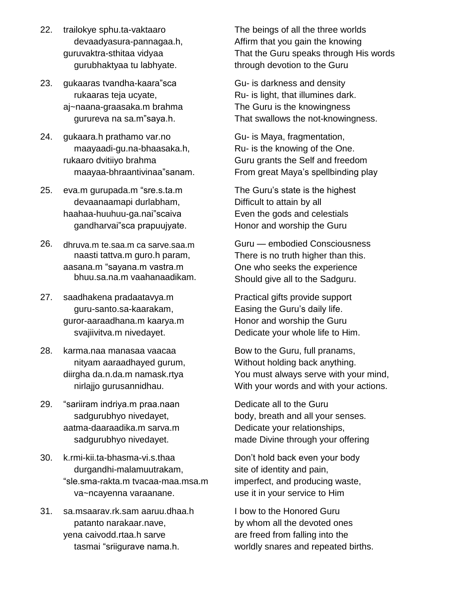- 22. trailokye sphu.ta-vaktaaro devaadyasura-pannagaa.h, guruvaktra-sthitaa vidyaa gurubhaktyaa tu labhyate.
- 23. gukaaras tvandha-kaara"sca rukaaras teja ucyate, aj~naana-graasaka.m brahma rukaaras teja ucyate,<br><sub>'</sub>naana-graasaka.m brahma<br>gurureva na sa.m"saya.h.
- 24. gukaara.h prathamo var.no maayaadi-gu.na-bhaasaka.h, rukaaro dvitiiyo brahma maayaadi-gu.na-bhaasaka.h,<br>:aaro dvitiiyo brahma<br>maayaa-bhraantivinaa"sanam. 25. eva.m gurupada.m ìsre.s.ta.m
- devaanaamapi durlabham, eva.m gurupada.m "sre.s.ta.m<br>devaanaamapi durlabham,<br>haahaa-huuhuu-ga.nai"scaiva gandharvai"sca prapuujvate.
- 26. dhruva.m te.saa.m ca sarve.saa.m naasti tattva.m guro.h param, aasana.m "sayana.m vastra.m bhuu.sa.na.m vaahanaadikam.
- 27. saadhakena pradaatavya.m guru-santo.sa-kaarakam, guror-aaraadhana.m kaarya.m svajiivitva.m nivedayet.
- 28. karma.naa manasaa vaacaa nityam aaraadhayed gurum, diirgha da.n.da.m namask.rtya nirlajjo gurusannidhau.
- 29. "sariiram indriya.m praa.naan sadgurubhyo nivedayet, aatma-daaraadika.m sarva.m sadgurubhyo nivedayet.
- 30. k.rmi-kii.ta-bhasma-vi.s.thaa durgandhi-malamuutrakam, -rakta.m tvacaa-maa.msa.m va~ncayenna varaanane.
- 31. sa.msaarav.rk.sam aaruu.dhaa.h patanto narakaar.nave, yena caivodd.rtaa.h sarve tasmai "sriigurave nama.h.

The beings of all the three worlds Affirm that you gain the knowing That the Guru speaks through His words through devotion to the Guru

Gu- is darkness and density Ru- is light, that illumines dark. The Guru is the knowingness That swallows the not-knowingness.

Gu- is Maya, fragmentation, Ru- is the knowing of the One. Guru grants the Selfand freedom Ru- is the knowing of the One.<br>Guru grants the Self and freedom<br>From great Maya's spellbinding play Sura grants the Soli and hosdom<br>From great Maya's spellbinding play<br>The Guru's state is the highest

Difficult to attain by all Even the gods and celestials Honor and worship the Guru

Guru – embodied Consciousness There is no truth higher than this. One who seeks the experience Should give all to the Sadguru.

Practical gifts provide support enould give all to the eadgard.<br>Practical gifts provide support<br>Easing the Guru's daily life. Honor and worship the Guru Dedicate your whole life to Him.

Bow to the Guru, full pranams, Without holding back anything. You must always serve with your mind, With your words and with your actions.

Dedicate all to the Guru body, breath and all your senses. Dedicate your relationships, made Divine through your offering Donít hold back even your body

site of identity and pain, imperfect, and producing waste, use it in your service to Him

I bow to the Honored Guru by whom all the devoted ones are freed from falling into the worldly snares and repeated births.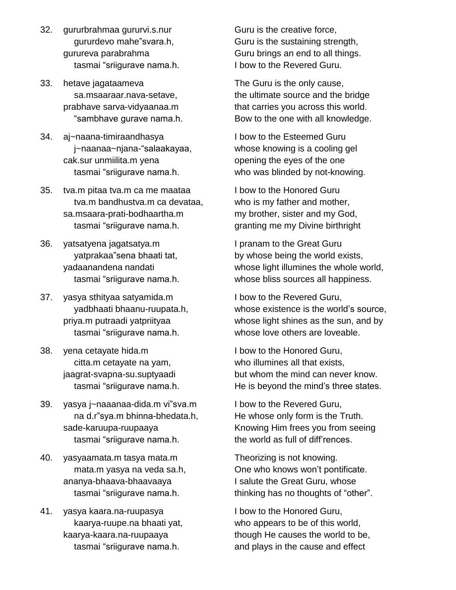- 32. gururbrahmaa gururvi.s.nur gururdevo mahe"svara.h, gurureva parabrahma tasmai "sriigurave nama.h.
- 33. hetave jagataameva sa.msaaraar.nava-setave, prabhave sarva-vidyaanaa.m r.nava-setave,<br>a-vidyaanaa.m<br>qurave nama.h.
- 34. aj~naana-timiraandhasya "sambhave gurave nama.h.<br>-naana-timiraandhasya<br>j~naanaa~njana-"salaakayaa. cak.sur unmiilita.m yena tasmai "sriigurave nama.h.
- 35. tva.m pitaa tva.m ca me maataa tva.m bandhustva.m ca devataa,<br>.msaara-prati-bodhaartha.m<br>tasmai "sriigurave nama.h. sa.msaara-prati-bodhaartha.m
- 36. yatsatyena jagatsatya.m tasmai "sriigurave nama.h.<br>tsatyena jagatsatya.m<br>yatprakaa"sena bhaati tat, yadaanandena nandati tasmai "sriigurave nama.h.
- 37. yasya sthityaa satyamida.m yadbhaati bhaanu-ruupata.h, priya.m putraadi yatpriityaa tasmai "sriigurave nama.h.
- 38. yena cetayate hida.m citta.m cetayate na yam, jaagrat-svapna-su.suptyaadi tasmai "sriigurave nama.h. 39. yasya j~naaanaa-dida.m viîsva.m
- aamar omgaravo nama.n.<br>sya j~naaanaa-dida.m vi"sva.m<br>na d.r"sya.m bhinna-bhedata.h, sade-karuupa-ruupaaya na d.r"sya.m bhinna-bhedata.h,<br>de-karuupa-ruupaaya<br>tasmai "sriigurave nama.h.
- 40. yasyaamata.m tasya mata.m mata.m yasya na veda sa.h, ananya-bhaava-bhaavaaya tasmai "sriigurave nama.h.
- 41. yasya kaara.na-ruupasya kaarya-ruupe.na bhaati yat,<br>arya-kaara.na-ruupaaya<br>tasmai "sriigurave nama.h. kaarya-kaara.na-ruupaaya

Guru is the creative force, Guru is the sustaining strength, Guru brings an end to all things. I bow to the Revered Guru.

The Guru is the only cause, the ultimate source and the bridge that carries you across this world. Bow to the one with all knowledge.

I bow to the Esteemed Guru whose knowing is a cooling gel opening the eyes of the one who was blinded by not-knowing.

I bow to the Honored Guru who is my father and mother, my brother, sister and my God, granting me my Divine birthright

I pranam to the Great Guru by whose being the world exists, whose light illumines the whole world, whose bliss sources all happiness.

I bow to the Revered Guru, whose existence is the world's source, whose light shines as the sun, and by whose love others are loveable.

I bow to the Honored Guru, who illumines all that exists. but whom the mind can never know. He is beyond the mind's three states.

I bow to the Revered Guru, He whose only form is the Truth. Knowing Him frees you from seeing He whose only form is the Truth.<br>Knowing Him frees you from seein<br>the world as full of diff'rences.

Theorizing is not knowing. the world as full of diff'rences.<br>Theorizing is not knowing.<br>One who knows won't pontificate. I salute the Great Guru, whose thinking has no thoughts of "other".

I bow to the Honored Guru, who appears to be of this world, though He causes the world to be, and plays in the cause and effect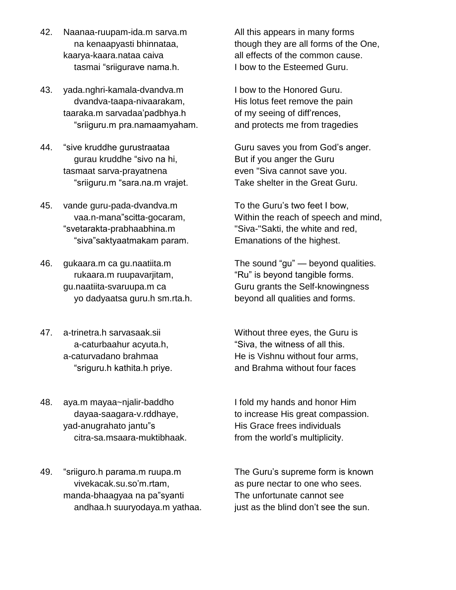- 42. Naanaa-ruupam-ida.m sarva.m na kenaapyasti bhinnataa, kaarya-kaara.nataa caiva tasmai "sriigurave nama.h.
- 43. yada.nghri-kamala-dvandva.m dvandva-taapa-nivaarakam, taaraka.m sarvadaaípadbhya.h apa-nivaarakam,<br>vadaa'padbhya.h<br>pra.namaamvaham. sriiguru.m pra.namaamyaham.<br>44. "sive kruddhe gurustraataa
- ve kruddhe gurustraataa<br>gurau kruddhe "sivo na hi, tasmaat sarva-prayatnena "sriiguru.m "sara.na.m vrajet.
- 45. vande guru-pada-dvandva.m vande guru-pada-dvandva.m<br>vaa.n-mana"scitta-gocaram, "svetarakta-prabhaabhina.m "siva"saktyaatmakam param.
- 46. gukaara.m ca gu.naatiita.m rukaara.m ruupavarjitam, gu.naatiita-svaruupa.m ca yo dadyaatsa guru.h sm.rta.h.
- 47. a-trinetra.h sarvasaak.sii a-caturbaahur acyuta.h,<br>:aturvadano brahmaa<br>"sriguru.h kathita.h prive. a-caturvadano brahmaa
- 48. aya.m mayaa~njalir-baddho dayaa-saagara-v.rddhaye, aya.m mayaa~njalir-baddho<br>dayaa-saagara-v.rddhaye,<br>yad-anugrahato jantu"s citra-sa.msaara-muktibhaak.
- .<br>49. "sriiguro.h parama.m ruupa.m iiguro.h parama.m ruupa.m<br>vivekacak.su.so'm.rtam, vivekacak.su.so'm.rtam,<br>manda-bhaagyaa na pa''syanti andhaa.h suuryodaya.m yathaa.

All this appears in many forms though they are all forms of the One, all effects of the common cause. I bow to the Esteemed Guru.

I bow to the Honored Guru. His lotus feet remove the pain I bow to the Honored Guru.<br>His lotus feet remove the pain<br>of my seeing of diff'rences, and protects me from tragedies

Guru saves you from God's anger. But if you anger the Guru even "Siva cannot save you. Take shelter in the Great Guru.<br>To the Guru's two feet I bow,

Within the reach of speech and mind, "Siva-"Sakti, the white and red, Emanations of the highest. Emanations of the highest.<br>The sound "gu" — beyond qualities.

sound "gu" — beyond qualities<br>is bevond tangible forms. Guru grants the Self-knowingness beyond all qualities and forms.

Without three eyes, the Guru is ut three eyes, the Guru is<br>the witness of all this. He is Vishnu without four arms, and Brahma without four faces

I fold my hands and honor Him to increase His great compassion.<br>His Grace frees individuals<br>from the world's multiplicity. His Grace frees individuals

The Guruís supreme form is known as pure nectar to one who sees. The unfortunate cannot see just as the blind don't see the sun.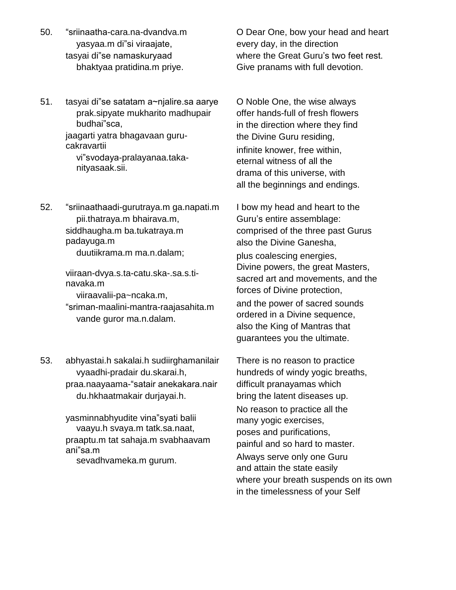- endision.<br>1991. <sup>Indi</sup>sriinaatha-cara.na-dvandva.m iinaatha-cara.na-dvandva.m<br>yasyaa.m di"si viraajate, "sriinaatha-cara.na-dvandva.m<br>yasyaa.m di"si viraajate,<br>tasyai di"se namaskuryaad bhaktyaa pratidina.m priye.
- en<br>151. tasyai di"se satatam a∼njalire.sa aarye ∴ O No prak.sipyate mukharito madhupair iyai di"se satata<mark>r</mark><br>prak.sipyate mul<br>budhai"sca, jaagarti yatra bhagavaan guru cakravartii viîsvodaya-pralayanaa.taka nityasaak.sii.

52. "sriinaathaadi-gurutraya.m ga.napati.m pii.thatraya.m bhairava.m, siddhaugha.m ba.tukatraya.m padayuga.m duutiikrama.m ma.n.dalam;

> viiraan-dvya.s.ta-catu.ska-.sa.s.ti navaka.m viiraavalii-pa~ncaka.m,

"sriman-maalini-mantra-raajasahita.m vande guror ma.n.dalam.

53. abhyastai.h sakalai.h sudiirghamanilair vyaadhi-pradair du.skarai.h, praa.naayaama-"satair anekakara.nair du.hkhaatmakair durjayai.h.

> yasminnabhyudite vina"syati balii vaayu.h svaya.m tatk.sa.naat, praaptu.m tat sahaja.m svabhaavam ´ vaayu.h svaya.m tat<br>praaptu.m tat sahaja.n<br>ani"sa.m sevadhvameka.m gurum.

O Dear One, bow your head and heart where the Great Guruís two feet rest. every day, in the direction Give pranams with full devotion.

O Noble One, the wise always offer hands-full of fresh flowers in the direction where they find the Divine Guru residing, infinite knower, free within, eternal witness of all the drama of this universe, with all the beginnings and endings.

I bow my head and heart to the l bow my head and heart to the<br>Guru's entire assemblage: comprised of the three past Gurus also the Divine Ganesha, plus coalescing energies, Divine powers, the great Masters, sacred art and movements, and the forces of Divine protection, and the power of sacred sounds ordered in a Divine sequence, also the King of Mantras that guarantees you the ultimate.

There is no reason to practice hundreds of windy yogic breaths, difficult pranayamas which bring the latent diseases up.<br>No reason to practice all the many yogic exercises, poses and purifications, painful and so hard to master. Always serve only one Guru and attain the state easily where your breath suspends on its own in the timelessness of your Self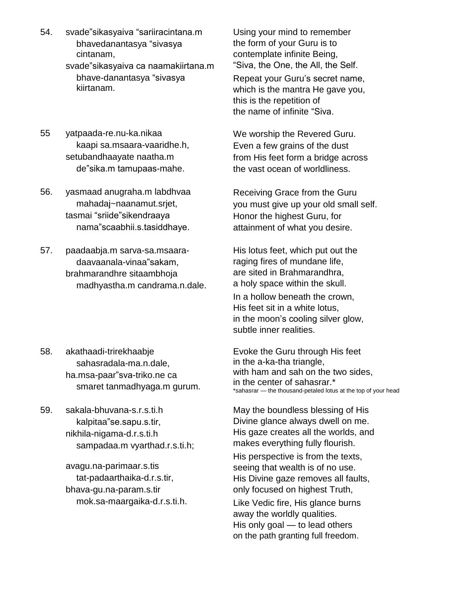- 54. svadeîsikasyaiva ìsariiracintana.m ade"sikasyaiva "sariiracintana.m<br>bhavedanantasya "sivasya cintanam, svadeîsikasyaiva ca naamakiirtana.m cintanam,<br>ade"sikasyaiva ca naamakiirtana.m<br>bhave-danantasya "sivasya kiirtanam.
- 55 yatpaada-re.nu-ka.nikaa kaapi sa.msaara-vaaridhe.h, setubandhaayate naatha.m
- 56. yasmaad anugraha.m labdhvaa<br>mahadaj~naanamut.srjet,<br>tasmai "sriide"sikendraaya mahadaj~naanamut.srjet, tasmai "sriide"sikendraaya<br>nama"scaabhii.s.tasiddhaye.
- 57. paadaabja.m sarva-sa.msaara adaabja.m sarva-sa.msaara-<br>daavaanala-vinaa"sakam, brahmarandhre sitaambhoja madhyastha.m candrama.n.dale.
- 58. akathaadi-trirekhaabje sahasradala-ma.n.dale, ha.msa-paar"sva-triko.ne ca smaret tanmadhyaga.m gurum.
- 59. sakala-bhuvana-s.r.s.ti.h kalpitaa"se.sapu.s.tir, nikhila-nigama-d.r.s.ti.h sampadaa.m vyarthad.r.s.ti.h;

avagu.na-parimaar.s.tis tat-padaarthaika-d.r.s.tir, bhava-gu.na-param.s.tir mok.sa-maargaika-d.r.s.ti.h. Using your mind to remember the form of your Guru is to contemplate infinite Being, "Siva, the One, the All, the Self.

Repeat your Guruís secret name, which is the mantra He gave you,<br>this is the repetition of<br>the name of infinite "Siva. this is the repetition of

deîsika.m tamupaas-mahe. We worship the Revered Guru. Even <sup>a</sup> few grains of the dust from His feet form a bridge across the vast ocean of worldliness.

> Receiving Grace from the Guru you must give up your old small self. Honor the highest Guru, for attainment of what you desire.

His lotus feet, which put out the raging fires of mundane life, are sited in Brahmarandhra, a holy space within the skull. In a hollow beneath the crown, His feet sit in a white lotus, in the moon's cooling silver glow, subtle inner realities.

Evoke the Guru through His feet in the a-ka-tha triangle, with ham and sah on the two sides, in the center of sahasrar.\* \*sahasrar - the thousand-petaled lotus at the top of your head

May the boundless blessing of His Divine glance always dwell on me.<br>His gaze creates all the worlds, and makes everything fully flourish.

His perspective is from the texts, seeing that wealth is of no use. His Divine gaze removes all faults, only focused on highest Truth,

Like Vedic fire, His glance burns<br>away the worldly qualities.<br>His only goal — to lead others away the worldly qualities. on the path granting full freedom.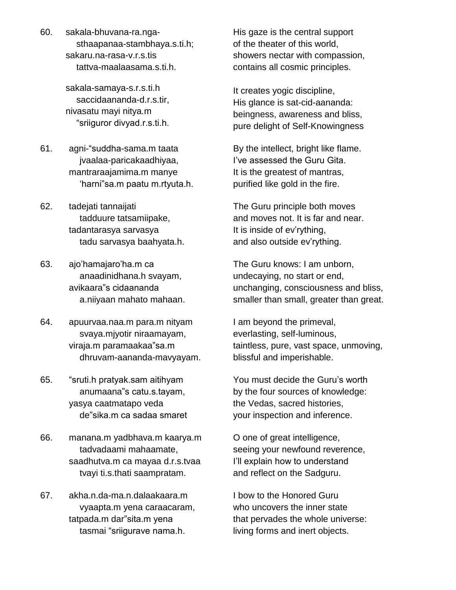60. sakala-bhuvana-ra.nga sthaapanaa-stambhaya.s.ti.h; sakaru.na-rasa-v.r.s.tis tattva-maalaasama.s.ti.h.

> sakala-samaya-s.r.s.ti.h saccidaananda-d.r.s.tir, nivasatu mayi nitya.m "sriiguror divyad.r.s.ti.h.

- 61. agni-"suddha-sama.m taata jvaalaa-paricakaadhiyaa, mantraraajamima.m manye 'harni"sa.m paatu m.rtyuta.h.
- 62. tadejati tannaijati tadduure tatsamiipake, tadantarasya sarvasya tadu sarvasya baahyata.h. 63. ajoíhamajaroíha.m ca
- anaadinidhana.h svayam, ajo'hamajaro'ha.m ca<br>anaadinidhana.h svayam,<br>avikaara"s cidaananda a.niiyaan mahato mahaan.
- 64. apuurvaa.naa.m para.m nityam viraja.m paramaakaaîsa.m svaya.mjyotir niraamayam, dhruvam-aananda-mavyayam. 65. ìsruti.h pratyak.sam aitihyam
- uti.h pratyak.sam aitihyam<br>anumaana"s catu.s.tayam, yasya caatmatapo veda anumaana"s catu.s.tayam,<br>sya caatmatapo veda<br>de"sika.m ca sadaa smaret
- 66. manana.m yadbhava.m kaarya.m tadvadaami mahaamate, saadhutva.m ca mayaa d.r.s.tvaa tvayi ti.s.thati saampratam.
- 67. akha.n.da-ma.n.dalaakaara.m vyaapta.m yena caraacaram, akha.n.da-ma.n.dalaakaara.m<br>wyaapta.m yena caraacaram,<br>tatpada.m dar"sita.m yena vyaapta.m yena caraacaram,<br>pada.m dar"sita.m yena<br>tasmai "sriigurave nama.h.

His gaze is the central support of the theater of this world, showers nectar with compassion, contains all cosmic principles.

It creates yogic discipline, His glance is sat-cid-aananda: beingness, awareness and bliss, pure delight of Self-Knowingness

By the intellect, bright like flame. By the intellect, bright like flame.<br>I've assessed the Guru Gita. It is the greatest of mantras, purified like gold in the fire.

The Guru principle both moves It is inside of evírything, and moves not. It is far and near. It is inside of ev'rything,<br>and also outside ev'rything.

The Guru knows: I am unborn, undecaying, no start or end, unchanging, consciousness and bliss, smaller than small, greater than great.

I am beyond the primeval, everlasting, self-luminous, taintless, pure, vast space, unmoving, blissful and imperishable.

You must decide the Guruís worth by the four sources of knowledge: the Vedas, sacred histories, your inspection and inference.

O one of great intelligence, seeing your newfound reverence, O one of great intelligence,<br>seeing your newfound reverence,<br>I'll explain how to understand and reflect on the Sadguru.

I bow to the Honored Guru who uncovers the inner state that pervades the whole universe: living forms and inert objects.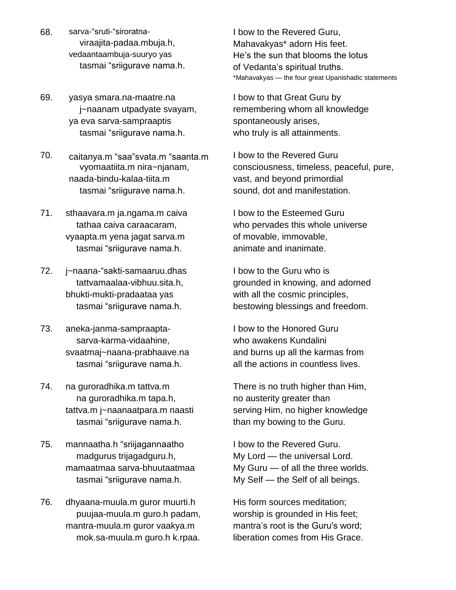- 68. sarva-"sruti-"siroratnaviraajita-padaa.mbuja.h, vedaantaambuja-suuryo yas tasmai "sriigurave nama.h.
- 69. yasya smara.na-maatre.na j~naanam utpadyate svayam,<br>eva sarva-sampraaptis<br>tasmai "sriigurave nama.h. ya eva sarva-sampraaptis tasmai "sriigurave nama.h.<br>70. caitanya.m "saa"svata.m "saanta.m
- vyomaatiita.m nira~njanam, naada-bindu-kalaa-tiita.m tasmai "sriigurave nama.h.
- 71. sthaavara.m ja.ngama.m caiva tathaa caiva caraacaram, vyaapta.m yena jagat sarva.m tasmai "sriigurave nama.h.
- 72. j~naana-"sakti-samaaruu.dhas tattvamaalaa-vibhuu.sita.h, bhukti-mukti-pradaataa yas tasmai "sriigurave nama.h.
- 73. aneka-janma-sampraapta sarva-karma-vidaahine, svaatmaj~naana-prabhaave.na sarva-karma-vidaahine,<br>aatmaj~naana-prabhaave.na<br>tasmai "sriigurave nama.h.
- 74. na guroradhika.m tattva.m na guroradhika.m tapa.h, tattva.m j~naanaatpara.m naasti na guroradhika.m tapa.h,<br>tva.m j~naanaatpara.m naasti<br>tasmai "sriigurave nama.h. tasmai "sriigurave nama.h.<br>75. mannaatha.h "sriijagannaatho
- madgurus trijagadguru.h, mamaatmaa sarva-bhuutaatmaa madgurus trijagadguru.h,<br>imaatmaa sarva-bhuutaatmaa<br>tasmai "sriigurave nama.h.
- 76. dhyaana-muula.m guror muurti.h puujaa-muula.m guro.h padam, mantra-muula.m guror vaakya.m https://www.mantra's root is the Guru's word; mok.sa-muula.m guro.h k.rpaa.

I bow to the Revered Guru, Mahavakyas\* adorn His feet. I bow to the Revered Guru,<br>Mahavakyas\* adorn His feet.<br>He's the sun that blooms the lotus Mahavakyas\* adorn His feet.<br>He's the sun that blooms the lotu<br>of Vedanta's spiritual truths. of Vedanta's spiritual truths.<br>\*Mahavakyas — the four great Upanishadic statements

I bow to that Great Guru by remembering whom all knowledge spontaneously arises, who truly is all attainments.

I bow to the Revered Guru consciousness, timeless, peaceful, pure, vast, and beyond primordial sound, dot and manifestation.

I bow to the Esteemed Guru who pervades this whole universe of movable, immovable, animate and inanimate.

I bow to the Guru who is grounded in knowing, and adorned with all the cosmic principles, bestowing blessings and freedom.

I bow to the Honored Guru who awakens Kundalini and burns up all the karmas from all the actions in countless lives.

There is no truth higher than Him, no austerity greater than serving Him, no higher knowledge than my bowing to the Guru.

I bow to the Revered Guru.  $My$  Lord  $-$  the universal Lord. I bow to the Revered Guru.<br>My Lord — the universal Lord.<br>My Guru — of all the three worlds. My Lord — the universal Lord.<br>My Guru — of all the three worlds.<br>My Self — the Self of all beings.

His form sources meditation; worship is grounded in His feet; His form sources meditation;<br>worship is grounded in His feet;<br>mantra's root is the Guru's word; liberation comes from His Grace.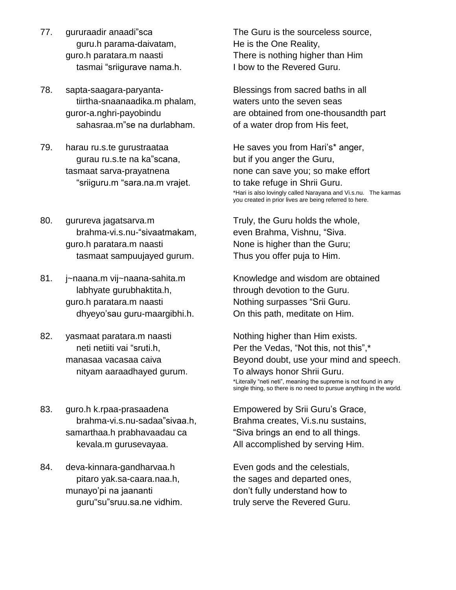- 77. gururaadir anaadi"sca guru.h parama-daivatam, guro.h paratara.m naasti tasmai "sriigurave nama.h.
- 78. sapta-saagara-paryantatiirtha-snaanaadika.m phalam,<br>ror-a.nghri-payobindu<br>sahasraa.m"se na durlabham. guror-a.nghri-payobindu
- 79. harau ru.s.te gurustraataa rau ru.s.te gurustraataa<br>gurau ru.s.te na ka"scana,<br>imaat sarva-prayatnena<br>"sriiguru.m "sara.na.m vraiet. tasmaat sarva-prayatnena
- 80. gurureva jagatsarva.m brahma-vi.s.nu-"sivaatmakam, guro.h paratara.m naasti tasmaat sampuujayed gurum.
- 81. j~naana.m vij~naana-sahita.m labhyate gurubhaktita.h, guro.h paratara.m naasti dhyeyoísau guru-maargibhi.h.
- 82. yasmaat paratara.m naasti smaat paratara.m naasti<br>neti netiiti vai "sruti.h, manasaa vacasaa caiva nityam aaraadhayed gurum.
- 83. guro.h k.rpaa-prasaadena brahma-vi.s.nu-sadaa"sivaa.h, samarthaa.h prabhavaadau ca kevala.m gurusevayaa.
- 84. deva-kinnara-gandharvaa.h munayoípi na jaananti pitaro yak.sa-caara.naa.h, munayo'pi na jaananti<br>guru"su"sruu.sa.ne vidhim.

The Guru is the sourceless source, He is the One Reality, There is nothing higher than Him I bow to the Revered Guru.

Blessings from sacred baths in all waters unto the seven seas are obtained from one-thousandth part of a water drop from His feet,

He saves you from Hari's\* anger, but if you anger the Guru, none can save you; so make effort to take refuge in Shrii Guru. \*Hari is also lovingly called Narayana and Vi.s.nu. The karmas you created in prior lives are being referred to here.

Truly, the Guru holds the whole, Truly, the Guru holds the whole,<br>even Brahma, Vishnu, "Siva. None is higher than the Guru; Thus you offer puja to Him.

Knowledge and wisdom are obtained<br>through devotion to the Guru.<br>Nothing surpasses "Srii Guru. through devotion to the Guru. On this path, meditate on Him.

Nothing higher than Him exists. Per the Vedas, "Not this, not this",\* Beyond doubt, use your mind and speech. To always honor Shrii Guru. \*Literally "neti neti", meaning the supreme is not found in any single thing, so there is no need to pursue anything in the world. Enerally Tiell held, meaning the supreme is not lound in single thing, so there is no need to pursue anything in the<br>Empowered by Srii Guru's Grace,

Empowered by Srii Guru's Grace,<br>Brahma creates, Vi.s.nu sustains,<br>"Siva brings an end to all things. All accomplished by serving Him.

Even gods and the celestials, the sages and departed ones, Even gods and the celestials,<br>the sages and departed ones,<br>don't fully understand how to truly serve the Revered Guru.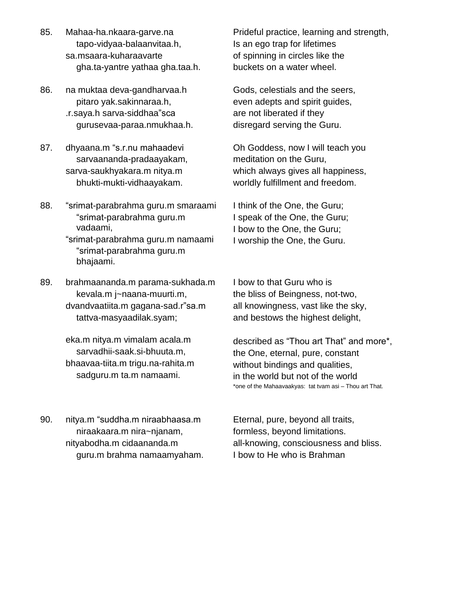- 85. Mahaa-ha.nkaara-garve.na tapo-vidyaa-balaanvitaa.h, sa.msaara-kuharaavarte gha.ta-yantre yathaa gha.taa.h.
- 86. na muktaa deva-gandharvaa.h .r.saya.h sarva-siddhaaîsca pitaro yak.sakinnaraa.h, gurusevaa-paraa.nmukhaa.h.
- 87. dhyaana.m "s.r.nu mahaadevi sarvaananda-pradaayakam, sarva-saukhyakara.m nitya.m bhukti-mukti-vidhaayakam.

bhajaami.

88. "srimat-parabrahma guru.m smaraami -parabrahma guru.m vadaami, ìsrimatvadaami,<br>srimat-parabrahma guru.m namaami "srimat-parabrahma guru.m

89. brahmaananda.m parama-sukhada.m dvandvaatiita.m gagana-sad.rîsa.m kevala.m j~naana-muurti.m, tattva-masyaadilak.syam;

> eka.m nitya.m vimalam acala.m sarvadhii-saak.si-bhuuta.m, bhaavaa-tiita.m trigu.na-rahita.m sadguru.m ta.m namaami.

Prideful practice, learning and strength, Is an ego trap for lifetimes of spinning in circles like the buckets on a water wheel.

Gods, celestials and the seers, even adepts and spirit guides, are not liberated if they disregard serving the Guru.

Oh Goddess, now I will teach you meditation on the Guru, which always gives all happiness, worldly fulfillment and freedom.

I think of the One, the Guru; I speak of the One, the Guru; I bow to the One, the Guru; I worship the One, the Guru.

I bow to that Guru who is the bliss of Beingness, not-two, all knowingness, vast like the sky, and bestows the highest delight,

described as "Thou art That" and more\*, the One, eternal, pure, constant without bindings and qualities, in the world but not of the world \*one of the Mahaavaakyas: tat tvam asi – Thou art That.

90. nitya.m "suddha.m niraabhaasa.m niraakaara.m nira~njanam, nityabodha.m cidaananda.m guru.m brahma namaamyaham. Eternal, pure, beyond all traits, formless, beyond limitations. all-knowing, consciousness and bliss. I bow to He who is Brahman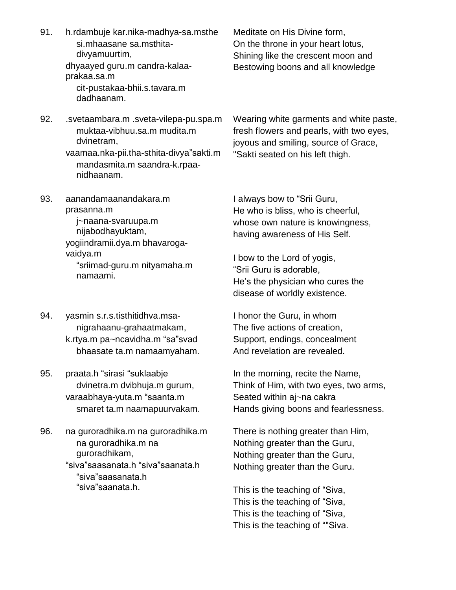| 91. | h.rdambuje kar.nika-madhya-sa.msthe<br>si.mhaasane sa.msthita-<br>divyamuurtim,<br>dhyaayed guru.m candra-kalaa-<br>prakaa.sa.m<br>cit-pustakaa-bhii.s.tavara.m<br>dadhaanam. | Meditate on His Divine form,<br>On the throne in your heart lotus,<br>Shining like the crescent moon and<br>Bestowing boons and all knowledge                                                                                                                                     |
|-----|-------------------------------------------------------------------------------------------------------------------------------------------------------------------------------|-----------------------------------------------------------------------------------------------------------------------------------------------------------------------------------------------------------------------------------------------------------------------------------|
| 92. | .svetaambara.m.sveta-vilepa-pu.spa.m<br>muktaa-vibhuu.sa.m mudita.m<br>dvinetram,<br>vaamaa.nka-pii.tha-sthita-divya"sakti.m<br>mandasmita.m saandra-k.rpaa-<br>nidhaanam.    | Wearing white garments and white paste,<br>fresh flowers and pearls, with two eyes,<br>joyous and smiling, source of Grace,<br>"Sakti seated on his left thigh.                                                                                                                   |
| 93. | aanandamaanandakara.m<br>prasanna.m<br>j~naana-svaruupa.m<br>nijabodhayuktam,<br>yogiindramii.dya.m bhavaroga-<br>vaidya.m<br>"sriimad-guru.m nityamaha.m<br>namaami.         | I always bow to "Srii Guru,<br>He who is bliss, who is cheerful,<br>whose own nature is knowingness,<br>having awareness of His Self.<br>I bow to the Lord of yogis,<br>"Srii Guru is adorable,<br>He's the physician who cures the<br>disease of worldly existence.              |
| 94. | yasmin s.r.s.tisthitidhva.msa-<br>nigrahaanu-grahaatmakam,<br>k.rtya.m pa~ncavidha.m "sa"svad<br>bhaasate ta.m namaamyaham.                                                   | I honor the Guru, in whom<br>The five actions of creation,<br>Support, endings, concealment<br>And revelation are revealed.                                                                                                                                                       |
| 95. | praata.h "sirasi "suklaabje<br>dvinetra.m dvibhuja.m gurum,<br>varaabhaya-yuta.m "saanta.m<br>smaret ta.m naamapuurvakam.                                                     | In the morning, recite the Name,<br>Think of Him, with two eyes, two arms,<br>Seated within aj~na cakra<br>Hands giving boons and fearlessness.                                                                                                                                   |
| 96. | na guroradhika.m na guroradhika.m<br>na guroradhika.m na<br>guroradhikam,<br>"siva"saasanata.h "siva"saanata.h<br>"siva"saasanata.h<br>"siva"saanata.h.                       | There is nothing greater than Him,<br>Nothing greater than the Guru,<br>Nothing greater than the Guru,<br>Nothing greater than the Guru.<br>This is the teaching of "Siva,<br>This is the teaching of "Siva,<br>This is the teaching of "Siva,<br>This is the teaching of ""Siva. |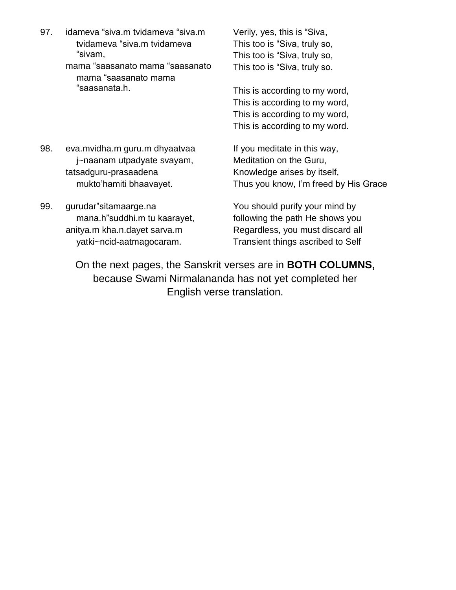enasias<br>97. idameva "siva.m tvidameva "siva.m Verily, imeva "siva.m tvidameva "siva.m<br>tvidameva "siva.m tvidameva imeva " mama ìsaasanato mama ìsaasanato

"sivam,<br>ıma "saasanato mama "saasanato<br>mama "saasanato mama ama "saasana "saasanata.h.

Verily, yes, this is "Siva, Verily, yes, this is "Siva,<br>This too is "Siva, truly so, Verily, yes, this is "Siva,<br>This too is "Siva, truly so,<br>This too is "Siva, truly so, This too is "Siva, truly so,<br>This too is "Siva, truly so.

This is according to my word, This is according to my word, This is according to my word, This is according to my word.

- 98. eva.mvidha.m guru.m dhyaatvaa j~naanam utpadyate svayam, muktoíhamiti bhaavayet. tatsadguru-prasaadena
- mukto'hamiti bhaavayet.<br>99. gurudar"sitamaarge.na mana.h"suddhi.m tu kaarayet, anitya.m kha.n.dayet sarva.m yatki~ncid-aatmagocaram.

If you meditate in this way, Meditation on the Guru, Knowledge arises by itself, Thus you know, I'm freed by His Grace

You should purify your mind by following the path He shows you Regardless, you must discard all Transient things ascribed to Self

On the next pages, the Sanskrit verses are in **BOTH COLUMNS,** because Swami Nirmalananda has not yet completed her English verse translation.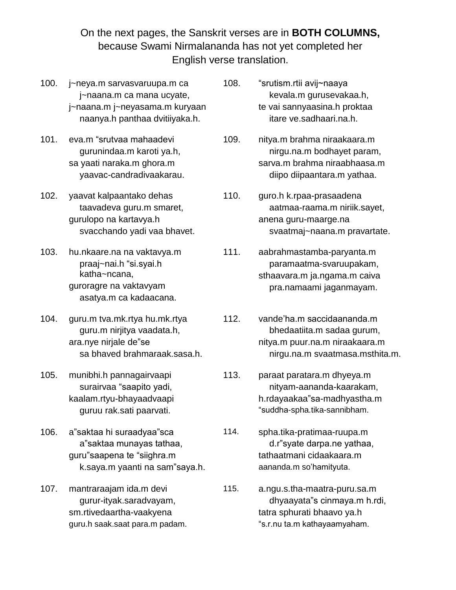On the next pages, the Sanskrit verses are in **BOTH COLUMNS,** because Swami Nirmalananda has not yet completed her English verse translation.

- 100. j~neya.m sarvasvaruupa.m ca j~naana.m ca mana ucyate, j~naana.m j~neyasama.m kuryaan naanya.h panthaa dvitiiyaka.h. 101. eva.m ìsrutvaa mahaadevi
- gurunindaa.m karoti ya.h, sa yaati naraka.m ghora.m yaavac-candradivaakarau.
- 102. yaavat kalpaantako dehas taavadeva guru.m smaret, gurulopo na kartavya.h svacchando yadi vaa bhavet.
- 103. hu.nkaare.na na vaktavya.m .nkaare.na na vaktavya.m<br>praaj~nai.h "si.syai.h katha~ncana, guroragre na vaktavyam asatya.m ca kadaacana.
- 104. guru.m tva.mk.rtya hu.mk.rtya ara.nye nirjale deîse guru.m nirjitya vaadata.h, sa bhaved brahmaraak.sasa.h.
- 105. munibhi.h pannagairvaapi ınibhi.h pannagairvaapi<br>surairvaa "saapito yadi, kaalam.rtyu-bhayaadvaapi guruu rak.sati paarvati.
- 106. a<sup>"</sup>saktaa hi suraadyaa"sca <sup>a</sup>îsaktaa munayas tathaa, guruîsaapena te ìsiighra.m k.saya.m yaanti na sam"saya.h.
- 107. mantraraajam ida.m devi gurur-ityak.saradvayam, sm.rtivedaartha-vaakyena guru.h saak.saat para.m padam.
- 108. ìsrutism.rtii avij~naaya kevala.m gurusevakaa.h, te vai sannyaasina.h proktaa itare ve.sadhaari.na.h.
- 109. nitya.m brahma niraakaara.m nirgu.na.m bodhayet param, sarva.m brahma niraabhaasa.m diipo diipaantara.m yathaa.
- 110. guro.h k.rpaa-prasaadena aatmaa-raama.m niriik.sayet, anena guru-maarge.na svaatmaj~naana.m pravartate.
- 111. aabrahmastamba-paryanta.m paramaatma-svaruupakam, sthaavara.m ja.ngama.m caiva pra.namaami jaganmayam.
- 112. vande'ha.m saccidaananda.m bhedaatiita.m sadaa gurum, nitya.m puur.na.m niraakaara.m nirgu.na.m svaatmasa.msthita.m.
- 113. paraat paratara.m dhyeya.m nityam-aananda-kaarakam, h.rdayaakaa"sa-madhyastha.m "suddha-spha.tika-sannibham.
	- spha.tika-pratimaa-ruupa.m d.rîsyate darpa.ne yathaa, tathaatmani cidaakaara.m aananda.m so'hamityuta.
- 115. a.ngu.s.tha-maatra-puru.sa.m a.ngu.s.tha-maatra-puru.sa.m<br>dhyaayata"s cinmaya.m h.rdi, tatra sphurati bhaavo ya.h aayata″s cınmaya.m r<br>phurati bhaavo ya.h<br>ta.m kathavaamvaham.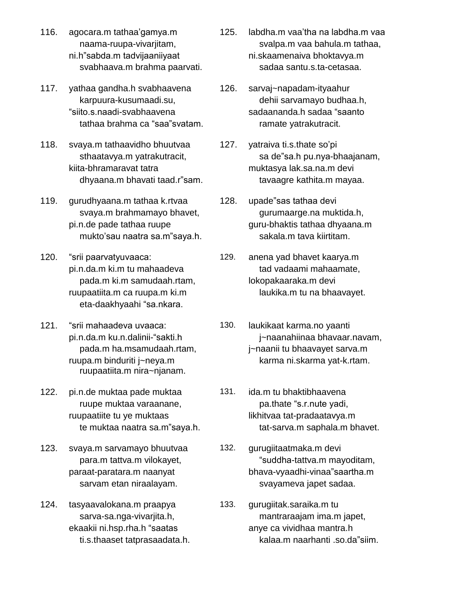- 116. agocara.m tathaaígamya.m naama-ruupa-vivarjitam, ni.hîsabda.m tadvijaaniiyaat svabhaava.m brahma paarvati.
- 117. yathaa gandha.h svabhaavena 12<br>karpuura-kusumaadi.su, "siito s naadi-svabhaavena karpuura-kusumaadi.su,<br>ito.s.naadi-svabhaavena<br>tathaa brahma ca "saa"svatam.
- 118. svaya.m tathaavidho bhuutvaa sthaatavya.m yatrakutracit, kiita-bhramaravat tatra dhyaana.m bhavati taad.r"sam.
- 119. gurudhyaana.m tathaa k.rtvaa svaya.m brahmamayo bhavet, pi.n.de pade tathaa ruupe svaya.m brahmamayo bhavet,<br>n.de pade tathaa ruupe<br>mukto'sau naatra sa.m"saya.h. mukto'sau naatra sa.m<br>120. "srii paarvatyuvaaca:
- pi.n.da.m ki.m tu mahaadeva pada.m ki.m samudaah.rtam,<br>ıpaatiita.m ca ruupa.m ki.m<br>eta-daakhyaahi "sa.nkara. ruupaatiita.m ca ruupa.m ki.m eta-daakhyaahi "sa.nkara.<br>121. "srii mahaadeva uvaaca:
- pi.n.da.m ku.n.dalinii-"sakti.h pada.m ha.msamudaah.rtam, ruupa.m binduriti j~neya.m ruupaatiita.m nira~njanam.
- 122. pi.n.de muktaa pade muktaa ruupe muktaa varaanane, ruupaatiite tu ye muktaas te muktaa naatra sa.m"saya.h.
- 123. svaya.m sarvamayo bhuutvaa para.m tattva.m vilokayet, paraat-paratara.m naanyat sarvam etan niraalayam.
- 124. tasyaavalokana.m praapya sarva-sa.nga-vivarjita.h, ekaakii ni.hsp.rha.h "saatas ti.s.thaaset tatprasaadata.h.
- 125. labdha.m vaaítha na labdha.m vaa svalpa.m vaa bahula.m tathaa, ni.skaamenaiva bhoktavya.m sadaa santu.s.ta-cetasaa.
- 126. sarvaj~napadam-ityaahur dehii sarvamayo budhaa.h, sadaananda.h sadaa "saanto ramate yatrakutracit.
- yatraiva ti.s.thate so'pi sa de"sa.h pu.nya-bhaajanam, muktasya lak.sa.na.m devi tavaagre kathita.m mayaa.<br>128. upade"sas tathaa devi
	- gurumaarge.na muktida.h, guru-bhaktis tathaa dhyaana.m sakala.m tava kiirtitam.
- 129. anena yad bhavet kaarya.m tad vadaami mahaamate, lokopakaaraka.m devi laukika.m tu na bhaavayet.
- 130. laukikaat karma.no yaanti j~naanahiinaa bhavaar.navam, j~naanii tu bhaavayet sarva.m karma ni.skarma yat-k.rtam.
- 131. ida.m tu bhaktibhaavena pa.thate "s.r.nute yadi, likhitvaa tat-pradaatavya.m tat-sarva.m saphala.m bhavet.
	- gurugiitaatmaka.m devi "suddha-tattva.m mayoditam, bhava-vyaadhi-vinaa"saartha.m svayameva japet sadaa.
- 133. gurugiitak.saraika.m tu mantraraajam ima.m japet, anye ca vividhaa mantra.h kalaa.m naarhanti .so.da"siim.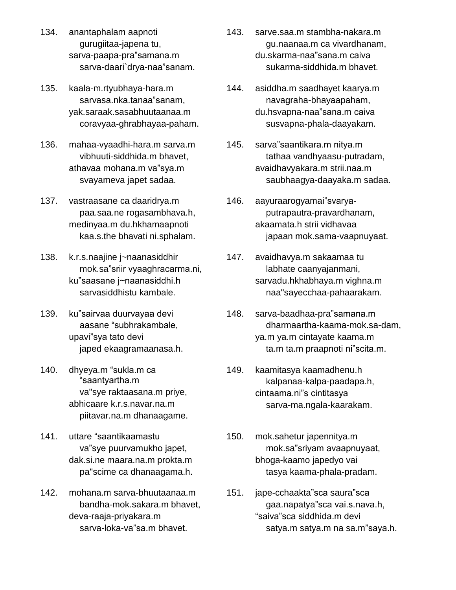- 134. anantaphalam aapnoti gurugiitaa-japena tu, sarva-paapa-praîsamana.m sarva-daari`drya-naa"sanam.
- 135. kaala-m.rtyubhaya-hara.m sarvasa.nka.tanaa"sanam, yak.saraak.sasabhuutaanaa.m coravyaa-ghrabhayaa-paham.
- 136. mahaa-vyaadhi-hara.m sarva.m athavaa mohana.m vaîsya.m vibhuuti-siddhida.m bhavet, svayameva japet sadaa.
- 137. vastraasane ca daaridrya.m paa.saa.ne rogasambhava.h, medinyaa.m du.hkhamaapnoti kaa.s.the bhavati ni.sphalam.
- 138. k.r.s.naajine j~naanasiddhir .s.naajine j~naanasiddhir<br>mok.sa"sriir vyaaghracarma.ni, k.r.s.naajine j~naanasiddhir<br>mok.sa"sriir vyaaghracarma.ni,<br>ku"saasane j~naanasiddhi.h sarvasiddhistu kambale. sarvasiddhistu kambale.<br>139. ku"sairvaa duurvayaa devi
- aasane "subhrakambale, ku"sairvaa duurvayaa d<br>aasane "subhrakaml<br>upavi"sya tato devi iaped ekaagramaanasa.h.<br>140. dhyeya.m "sukla.m ca ìsaantyartha.m
- "saantyartha.m va"sye raktaasana.m priye, abhicaare k.r.s.navar.na.m piitavar.na.m dhanaagame.<br>141. uttare "saantikaamastu
- uttare "saantikaamastu<br>va"sye puurvamukho japet, dak.si.ne maara.na.m prokta.m pa"scime ca dhanaagama.h.
- 142. mohana.m sarva-bhuutaanaa.m bandha-mok.sakara.m bhavet,<br>va-raaja-priyakara.m<br>sarva-loka-va"sa.m bhavet. deva-raaja-priyakara.m
- 143. sarve.saa.m stambha-nakara.m du.skarma-naaîsana.m caiva gu.naanaa.m ca vivardhanam, sukarma-siddhida.m bhavet.
- 144. asiddha.m saadhayet kaarya.m du.hsvapna-naaîsana.m caiva navagraha-bhayaapaham, susvapna-phala-daayakam.<br>145. sarva"saantikara.m nitya.m
- tathaa vandhyaasu-putradam, avaidhavyakara.m strii.naa.m saubhaagya-daayaka.m sadaa.<br>146. aayuraarogyamai"svarya-
- putrapautra-pravardhanam, akaamata.h strii vidhavaa japaan mok.sama-vaapnuyaat.
- 147. avaidhavya.m sakaamaa tu labhate caanyajanmani, sarvadu.hkhabhaya.m vighna.m naa"sayecchaa-pahaarakam.
- 148. sarva-baadhaa-pra "samana.m dharmaartha-kaama-mok.sa-dam,<br>.m ya.m cintayate kaama.m<br>ta.m ta.m praapnoti ni"scita.m. ya.m ya.m cintayate kaama.m
- 149. kaamitasya kaamadhenu.h kalpanaa-kalpa-paadapa.h, kaamitasya kaamadhenu.h<br>kalpanaa-kalpa-paadapa.h,<br>cintaama.ni"s cintitasya sarva-ma.ngala-kaarakam.
- 150. mok.sahetur japennitya.m mok.sa"sriyam avaapnuyaat, bhoga-kaamo japedyo vai tasya kaama-phala-pradam.<br>151. jape-cchaakta"sca saura"sca
- jape-cchaakta"sca saura"sca<br>gaa.napatya"sca vai.s.nava.h, kta"sca saura"sca<br>atya"sca vai.s.nava.h,<br>siddhida.m devi satya.m satya.m na sa.mîsaya.h.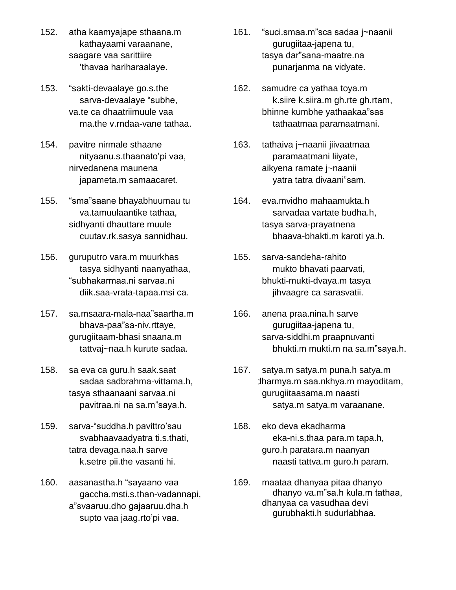- 152. atha kaamyajape sthaana.m kathayaami varaanane,<br>agare vaa sarittiire<br>'thavaa hariharaalave. saagare vaa sarittiire thavaa hariharaalaye.<br>153. "sakti-devaalaye go.s.the
- sarva-devaalaye "subhe, va.te ca dhaatriimuule vaa ma.the v.rndaa-vane tathaa.
- 154. pavitre nirmale sthaane nityaanu.s.thaanato'pi vaa, nirvedanena maunena japameta.m samaacaret.
- 155. "sma"saane bhayabhuumau tu va.tamuulaantike tathaa, sidhyanti dhauttare muule cuutav.rk.sasya sannidhau.
- 156. guruputro vara.m muurkhas guruputro vara.m muurkhas<br>tasya sidhyanti naanyathaa,<br>"subhakarmaa.ni sarvaa.ni diik.saa-vrata-tapaa.msi ca. 157. sa.msaara-mala-naaîsaartha.m
- .<br>msaara-mala-naa"saartha.m<br>bhava-paa"sa-niv.rttaye, gurugiitaam-bhasi snaana.m tattvaj~naa.h kurute sadaa.
- 158. sa eva ca guru.h saak.saat sadaa sadbrahma-vittama.h, tasya sthaanaani sarvaa.ni pavitraa.ni na sa.m"saya.h.
- 159. sarva-"suddha.h pavittro'sau svabhaavaadyatra ti.s.thati, tatra devaga.naa.h sarve k.setre pii.the vasanti hi.
- 160. aasanastha.h "sayaano vaa gaccha.msti.s.than-vadannapi, aasanastha.h "sayaano vaa<br>gaccha.msti.s.than-vadannapi,<br>a"svaaruu.dho gajaaruu.dha.h gaccha.msti.s.than-vadannap<br>svaaruu.dho gajaaruu.dha.h<br>supto vaa jaag.rto'pi vaa.
- .<br>161. "suci.smaa.m"sca sadaa j∼naanii gurugiitaa-japena tu, "suci.smaa.m"sca sadaa j∼naanii<br>gurugiitaa-japena tu,<br>tasya dar"sana-maatre.na punarjanma na vidyate.
- 162. samudre ca yathaa toya.m k.siire k.siira.m gh.rte gh.rtam, bhinne kumbhe yathaakaa"sas tathaatmaa paramaatmani.
- 163. tathaiva j~naanii jiivaatmaa paramaatmani liiyate, aikyena ramate j~naanii yatra tatra divaani"sam.
- 164. eva.mvidho mahaamukta.h sarvadaa vartate budha.h, tasya sarva-prayatnena bhaava-bhakti.m karoti ya.h.
- 165. sarva-sandeha-rahito mukto bhavati paarvati, bhukti-mukti-dvaya.m tasya jihvaagre ca sarasvatii.
- 166. anena praa.nina.h sarve gurugiitaa-japena tu, sarva-siddhi.m praapnuvanti bhukti.m mukti.m na sa.m"saya.h.
- 167. satya.m satya.m puna.h satya.m dharmya.m saa.nkhya.m mayoditam, gurugiitaasama.m naasti satya.m satya.m varaanane.
- 168. eko deva ekadharma eka-ni.s.thaa para.m tapa.h, guro.h paratara.m naanyan naasti tattva.m guro.h param.
- 169. maataa dhanyaa pitaa dhanyo dhanyo va.m"sa.h kula.m tathaa, dhanyaa ca vasudhaa devi gurubhakti.h sudurlabhaa.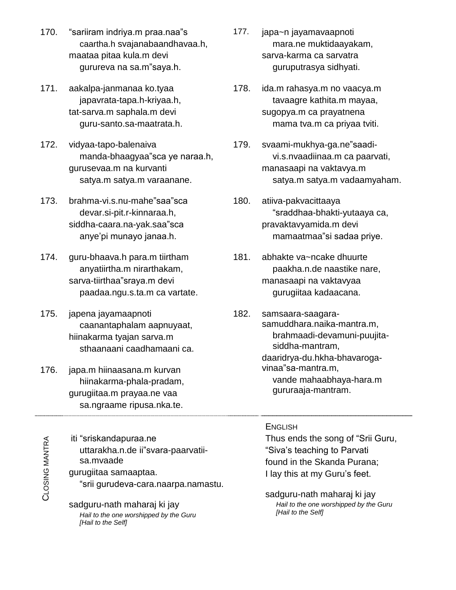- 170. "sariiram indriya.m praa.naa"s caartha.h svajanabaandhavaa.h,<br>iataa pitaa kula.m devi<br>gurureva na sa.m"saya.h. maataa pitaa kula.m devi
- 171. aakalpa-janmanaa ko.tyaa japavrata-tapa.h-kriyaa.h, tat-sarva.m saphala.m devi guru-santo.sa-maatrata.h.
- guru-santo.sa-maatrata.h. mama tva.m ca priyaa tviti.<br>172. vidyaa-tapo-balenaiva 179. svaami-mukhya-ga.ne"saadividyaa-tapo-balenaiva<br>manda-bhaagyaa"sca ye naraa.h, gurusevaa.m na kurvanti satya.m satya.m varaanane.<br>173. brahma-vi.s.nu-mahe"saa"sca
- devar.si-pit.r-kinnaraa.h, brahma-vi.s.nu-mahe"saa"sca<br>devar.si-pit.r-kinnaraa.h,<br>siddha-caara.na-yak.saa"sca devar.si-pit.r-kinnaraa.h,<br>ldha-caara.na-yak.saa"sca<br>anye'pi munayo janaa.h.
- 174. guru-bhaava.h para.m tiirtham sarva-tiirthaaîsraya.m devi anyatiirtha.m nirarthakam, paadaa.ngu.s.ta.m ca vartate.
- 175. japena jayamaapnoti caanantaphalam aapnuyaat, hiinakarma tyajan sarva.m sthaanaani caadhamaani ca.
- gururaaja-mantram. 176. japa.m hiinaasana.m kurvan hiinakarma-phala-pradam, gurugiitaa.m prayaa.ne vaa sa.ngraame ripusa.nka.te.

G

MANTRA

o<br>Clo SIN gurudeva-cara.naarpa.namastu. sa.mvaade<br>gurugiitaa samaaptaa. sa.mvaade tt: . iti ìsriskandapuraa.ne "sriskandapuraa.ne<br>uttarakha.n.de ii"svara-paarvatii-

sadguru-nath maharaj ki jay Hail to the one worshipped by the Guru [Hail to the Self]

- 177. japa~n jayamavaapnoti mara.ne muktidaayakam, sarva-karma ca sarvatra guruputrasya sidhyati.
- 178. ida.m rahasya.m no vaacya.m tavaagre kathita.m mayaa, sugopya.m ca prayatnena mama tva.m ca priyaa tviti.<br>179. svaami-mukhya-qa.ne"saadi-
- vi.s.nvaadiinaa.m ca paarvati, manasaapi na vaktavya.m satya.m satya.m vadaamyaham. ìsraddhaa
- 180. atiiva-pakvacittaaya "sraddhaa-bhakti-yutaaya ca,<br>avaktavyamida.m devi<br>mamaatmaa"si sadaa priye. pravaktavyamida.m devi
- 181. abhakte va~ncake dhuurte paakha.n.de naastike nare, manasaapi na vaktavyaa gurugiitaa kadaacana.
- 182. samsaara-saagara samuddhara.naika-mantra.m, brahmaadi-devamuni-puujita siddha-mantram, daaridrya-du.hkha-bhavaroga siddha-mantram,<br>daaridrya-du.hkha-bhav<br>vinaa"sa-mantra.m, vande mahaabhaya-hara.m

# **ENGLISH**

Thus ends the song of ìSrii Guru, ìSivaís।<br>nds the song of "Srii G।<br>teaching to Parvati found in the Skanda Purana; "Siva's teaching to Parvati<br>found in the Skanda Purana;<br>I lay this at my Guru's feet.

sadguru-nath maharaj ki jay Hail to the one worshipped by the Guru [Hail to the Self]